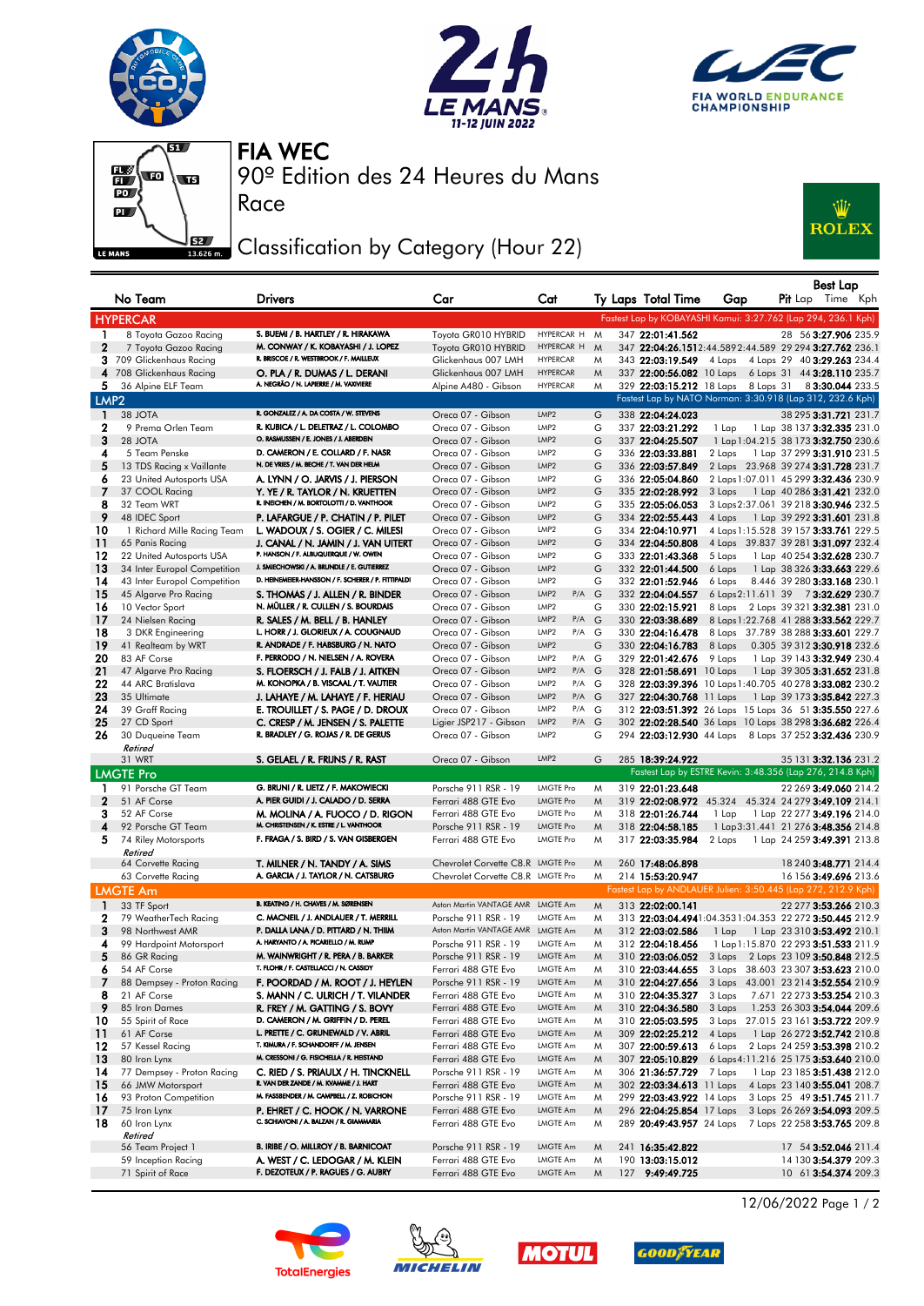







Race

90º Edition des 24 Heures du Mans FIA WEC

## Classification by Category (Hour 22)



|                       | No Team                                    | <b>Drivers</b>                                                                | Car                                         | Cat                                           |        | Ty Laps Total Time                   | Gap              | <b>Best Lap</b><br><b>Pit</b> Lap Time Kph                            |
|-----------------------|--------------------------------------------|-------------------------------------------------------------------------------|---------------------------------------------|-----------------------------------------------|--------|--------------------------------------|------------------|-----------------------------------------------------------------------|
|                       | <b>HYPERCAR</b>                            |                                                                               |                                             |                                               |        |                                      |                  | Fastest Lap by KOBAYASHI Kamui: 3:27.762 (Lap 294, 236.1 Kph)         |
| 1.                    | 8 Toyota Gazoo Racing                      | S. BUEMI / B. HARTLEY / R. HIRAKAWA                                           | Toyota GR010 HYBRID                         | HYPERCAR H                                    | M      | 347 22:01:41.562                     |                  | 28 56 3:27.906 235.9                                                  |
| $\mathbf{2}$          | 7 Toyota Gazoo Racing                      | M. CONWAY / K. KOBAYASHI / J. LOPEZ                                           | Toyota GR010 HYBRID                         | HYPERCAR H                                    | M      |                                      |                  | 347 22:04:26.1512:44.5892:44.589 29 294 3:27.762 236.1                |
|                       | 3 709 Glickenhaus Racing                   | R. BRISCOE / R. WESTBROOK / F. MAILLEUX                                       | Glickenhaus 007 LMH                         | <b>HYPERCAR</b>                               | M      | 343 22:03:19.549 4 Laps              |                  | 4 Laps 29 40 <b>3:29.263</b> 234.4                                    |
|                       | 4 708 Glickenhaus Racing                   | O. PLA / R. DUMAS / L. DERANI                                                 | Glickenhaus 007 LMH                         | <b>HYPERCAR</b>                               | M      |                                      |                  | 337 22:00:56.082 10 Laps 6 Laps 31 44 3:28.110 235.7                  |
| 5.                    | 36 Alpine ELF Team                         | A. NEGRÃO / N. LAPIERRE / M. VAXIVIERE                                        | Alpine A480 - Gibson                        | <b>HYPERCAR</b>                               | M      |                                      |                  | 329 22:03:15.212 18 Laps 8 Laps 31 8 3:30.044 233.5                   |
| LMP <sub>2</sub>      |                                            |                                                                               |                                             |                                               |        |                                      |                  | Fastest Lap by NATO Norman: 3:30.918 (Lap 312, 232.6 Kph)             |
| 1                     | 38 JOTA                                    | R. GONZALEZ / A. DA COSTA / W. STEVENS                                        | Oreca 07 - Gibson                           | LMP <sub>2</sub>                              | G      | 338 22:04:24.023                     |                  | 38 295 3:31.721 231.7                                                 |
| 2                     | 9 Prema Orlen Team                         | R. KUBICA / L. DELETRAZ / L. COLOMBO<br>O. RASMUSSEN / E. JONES / J. ABERDEIN | Oreca 07 - Gibson                           | LMP2                                          | G      | 337 22:03:21.292                     | 1 Lap            | 1 Lap 38 137 <b>3:32.335</b> 231.0                                    |
| 3                     | 28 JOTA                                    | D. CAMERON / E. COLLARD / F. NASR                                             | Oreca 07 - Gibson<br>Oreca 07 - Gibson      | LMP <sub>2</sub><br>LMP2                      | G      | 337 22:04:25.507                     |                  | 1 Lap 1:04.215 38 173 3:32.750 230.6                                  |
| 4<br>5                | 5 Team Penske<br>13 TDS Racing x Vaillante | N. DE VRIES / M. BECHE / T. VAN DER HELM                                      | Oreca 07 - Gibson                           | LMP <sub>2</sub>                              | G<br>G | 336 22:03:33.881<br>336 22:03:57.849 | 2 Laps           | 1 Lap 37 299 3:31.910 231.5<br>2 Laps 23.968 39 274 3:31.728 231.7    |
| 6                     | 23 United Autosports USA                   | A. LYNN / O. JARVIS / J. PIERSON                                              | Oreca 07 - Gibson                           | LMP2                                          | G      | 336 22:05:04.860                     |                  | 2 Laps 1:07.011 45 299 3:32.436 230.9                                 |
| 7                     | 37 COOL Racing                             | Y. YE / R. TAYLOR / N. KRUETTEN                                               | Oreca 07 - Gibson                           | LMP2                                          | G      | 335 22:02:28.992                     | 3 Laps           | 1 Lap 40 286 <b>3:31.421</b> 232.0                                    |
| 8                     | 32 Team WRT                                | R. INEICHEN / M. BORTOLOTTI / D. VANTHOOR                                     | Oreca 07 - Gibson                           | LMP2                                          | G      | 335 22:05:06.053                     |                  | 3 Laps 2:37.061 39 218 3:30.946 232.5                                 |
| 9                     | 48 IDEC Sport                              | P. LAFARGUE / P. CHATIN / P. PILET                                            | Oreca 07 - Gibson                           | LMP <sub>2</sub>                              | G      | 334 22:02:55.443                     | 4 Laps           | 1 Lap 39 292 <b>3:31.601</b> 231.8                                    |
| 10                    | 1 Richard Mille Racing Team                | L. WADOUX / S. OGIER / C. MILESI                                              | Oreca 07 - Gibson                           | LMP2                                          | G      | 334 22:04:10.971                     |                  | 4 Laps 1:15.528 39 157 3:33.761 229.5                                 |
| 11                    | 65 Panis Racing                            | J. CANAL / N. JAMIN / J. VAN UITERT                                           | Oreca 07 - Gibson                           | LMP <sub>2</sub>                              | G      | 334 22:04:50.808                     |                  | 4 Laps 39.837 39 281 3:31.097 232.4                                   |
| 12                    | 22 United Autosports USA                   | P. HANSON / F. ALBUQUERQUE / W. OWEN                                          | Oreca 07 - Gibson                           | LMP2                                          | G      | 333 22:01:43.368                     | 5 Laps           | 1 Lap 40 254 3:32.628 230.7                                           |
| 13                    | 34 Inter Europol Competition               | J. SMIECHOWSKI / A. BRUNDLE / E. GUTIERREZ                                    | Oreca 07 - Gibson                           | LMP <sub>2</sub>                              | G      | 332 22:01:44.500                     | 6 Laps           | 1 Lap 38 326 3:33.663 229.6                                           |
| 14                    | 43 Inter Europol Competition               | D. HEINEMEIER-HANSSON / F. SCHERER / P. FITTIPALDI                            | Oreca 07 - Gibson                           | LMP <sub>2</sub>                              | G      | 332 22:01:52.946                     | 6 Laps           | 8.446 39 280 3:33.168 230.1                                           |
| -15                   | 45 Algarve Pro Racing                      | S. THOMAS / J. ALLEN / R. BINDER                                              | Oreca 07 - Gibson                           | LMP <sub>2</sub><br>$P/A$ $G$                 |        | 332 22:04:04.557                     |                  | 6 Laps 2:11.611 39 73:32.629 230.7                                    |
| 16                    | 10 Vector Sport                            | N. MÜLLER / R. CULLEN / S. BOURDAIS                                           | Oreca 07 - Gibson                           | LMP2                                          | G      | 330 22:02:15.921                     | 8 Laps           | 2 Laps 39 321 3:32.381 231.0                                          |
| 17                    | 24 Nielsen Racing                          | R. SALES / M. BELL / B. HANLEY                                                | Oreca 07 - Gibson                           | LMP <sub>2</sub><br>$P/A$ G                   |        | 330 22:03:38.689                     |                  | 8 Laps 1:22.768 41 288 3:33.562 229.7                                 |
| 18                    | 3 DKR Engineering                          | L. HORR / J. GLORIEUX / A. COUGNAUD<br>R. ANDRADE / F. HABSBURG / N. NATO     | Oreca 07 - Gibson                           | LMP <sub>2</sub><br>P/A G<br>LMP <sub>2</sub> | G      | 330 22:04:16.478                     |                  | 8 Laps 37.789 38 288 3:33.601 229.7                                   |
| 19<br>20              | 41 Realteam by WRT<br>83 AF Corse          | F. PERRODO / N. NIELSEN / A. ROVERA                                           | Oreca 07 - Gibson<br>Oreca 07 - Gibson      | LMP <sub>2</sub><br>P/A G                     |        | 330 22:04:16.783<br>329 22:01:42.676 | 8 Laps<br>9 Laps | 0.305 39 312 3:30.918 232.6<br>1 Lap 39 143 3:32.949 230.4            |
| 21                    | 47 Algarve Pro Racing                      | S. FLOERSCH / J. FALB / J. AITKEN                                             | Oreca 07 - Gibson                           | LMP <sub>2</sub><br>$P/A$ $G$                 |        | 328 22:01:58.691 10 Laps             |                  | 1 Lap 39 305 3:31.652 231.8                                           |
| 22                    | 44 ARC Bratislava                          | M. KONOPKA / B. VISCAAL / T. VAUTIER                                          | Oreca 07 - Gibson                           | LMP <sub>2</sub><br>P/A G                     |        |                                      |                  | 328 22:03:39.396 10 Laps 1:40.705 40 278 3:33.082 230.2               |
| 23                    | 35 Ultimate                                | J. LAHAYE / M. LAHAYE / F. HERIAU                                             | Oreca 07 - Gibson                           | LMP <sub>2</sub><br>$P/A$ $G$                 |        | 327 22:04:30.768 11 Laps             |                  | 1 Lap 39 173 <b>3:35.842</b> 227.3                                    |
| 24                    | 39 Graff Racing                            | E. TROUILLET / S. PAGE / D. DROUX                                             | Oreca 07 - Gibson                           | LMP2<br>P/A G                                 |        |                                      |                  | 312 22:03:51.392 26 Laps 15 Laps 36 51 3:35.550 227.6                 |
| 25                    | 27 CD Sport                                | C. CRESP / M. JENSEN / S. PALETTE                                             | Ligier JSP217 - Gibson                      | LMP <sub>2</sub><br>$P/A$ $G$                 |        |                                      |                  | 302 22:02:28.540 36 Laps 10 Laps 38 298 3:36.682 226.4                |
| 26                    | 30 Duqueine Team                           | R. BRADLEY / G. ROJAS / R. DE GERUS                                           | Oreca 07 - Gibson                           | LMP2                                          | G      |                                      |                  | 294 22:03:12.930 44 Laps 8 Laps 37 252 3:32.436 230.9                 |
|                       | Retired                                    |                                                                               |                                             |                                               |        |                                      |                  |                                                                       |
|                       | 31 WRT                                     | S. GELAEL / R. FRIJNS / R. RAST                                               | Oreca 07 - Gibson                           | LMP <sub>2</sub>                              | G      | 285 18:39:24.922                     |                  | 35 131 3:32.136 231.2                                                 |
|                       | <b>LMGTE Pro</b>                           |                                                                               |                                             |                                               |        |                                      |                  | Fastest Lap by ESTRE Kevin: 3:48.356 (Lap 276, 214.8 Kph)             |
| 1                     | 91 Porsche GT Team                         | G. BRUNI / R. LIETZ / F. MAKOWIECKI                                           | Porsche 911 RSR - 19                        | <b>LMGTE Pro</b>                              | M      | 319 22:01:23.648                     |                  | 22 269 3:49.060 214.2                                                 |
| $\mathbf{2}$          | 51 AF Corse                                | A. PIER GUIDI / J. CALADO / D. SERRA                                          | Ferrari 488 GTE Evo                         | <b>LMGTE Pro</b>                              | M      |                                      |                  | 319 22:02:08.972 45.324 45.324 24 279 3:49.109 214.1                  |
| 3<br>4                | 52 AF Corse                                | M. MOLINA / A. FUOCO / D. RIGON<br>M. CHRISTENSEN / K. ESTRE / L. VANTHOOR    | Ferrari 488 GTE Evo<br>Porsche 911 RSR - 19 | <b>LMGTE Pro</b><br><b>LMGTE Pro</b>          | M<br>M | 318 22:01:26.744                     | 1 Lap            | 1 Lap 22 277 3:49.196 214.0                                           |
| 5                     | 92 Porsche GT Team<br>74 Riley Motorsports | F. FRAGA / S. BIRD / S. VAN GISBERGEN                                         | Ferrari 488 GTE Evo                         | <b>LMGTE Pro</b>                              | M      | 318 22:04:58.185<br>317 22:03:35.984 | 2 Laps           | 1 Lap 3:31.441 21 276 3:48.356 214.8<br>1 Lap 24 259 3:49.391 213.8   |
|                       | Retired                                    |                                                                               |                                             |                                               |        |                                      |                  |                                                                       |
|                       | 64 Corvette Racing                         | T. MILNER / N. TANDY / A. SIMS                                                | Chevrolet Corvette C8.R LMGTE Pro           |                                               | M      | 260 17:48:06.898                     |                  | 18 240 3:48.771 214.4                                                 |
|                       | 63 Corvette Racing                         | A. GARCIA / J. TAYLOR / N. CATSBURG                                           | Chevrolet Corvette C8.R LMGTE Pro           |                                               | M      | 214 15:53:20.947                     |                  | 16 156 3:49.696 213.6                                                 |
|                       | <b>LMGTE Am</b>                            |                                                                               |                                             |                                               |        |                                      |                  | Fastest Lap by ANDLAUER Julien: 3:50.445 (Lap 272, 212.9 Kph)         |
| $\mathbf{1}$          | 33 TF Sport                                | B. KEATING / H. CHAVES / M. SØRENSEN                                          | Aston Martin VANTAGE AMR LMGTE Am           |                                               | M      | 313 22:02:00.141                     |                  | 22 277 3:53.266 210.3                                                 |
| 2                     | 79 WeatherTech Racing                      | C. MACNEIL / J. ANDLAUER / T. MERRILL                                         | Porsche 911 RSR - 19                        | LMGTE Am                                      | M      |                                      |                  | 313 22:03:04.4941:04.3531:04.353 22 272 3:50.445 212.9                |
| 3                     | 98 Northwest AMR                           | P. DALLA LANA / D. PITTARD / N. THIIM                                         | Aston Martin VANTAGE AMR LMGTE Am           |                                               | M      | 312 22:03:02.586                     | 1 Lap            | 1 Lap 23 310 3:53.492 210.1                                           |
| 4                     | 99 Hardpoint Motorsport                    | A. HARYANTO / A. PICARIELLO / M. RUMP                                         | Porsche 911 RSR - 19                        | LMGTE Am                                      | M      | 312 22:04:18.456                     |                  | 1 Lap 1:15.870 22 293 3:51.533 211.9                                  |
| 5                     | 86 GR Racing                               | M. WAINWRIGHT / R. PERA / B. BARKER                                           | Porsche 911 RSR - 19                        | LMGTE Am                                      | W      |                                      |                  | 310 22:03:06.052 3 Laps 2 Laps 23 109 3:50.848 212.5                  |
| 6                     | 54 AF Corse                                | T. FLOHR / F. CASTELLACCI / N. CASSIDY                                        | Ferrari 488 GTE Evo                         | LMGTE Am                                      | M      | 310 22:03:44.655                     |                  | 3 Laps 38.603 23 307 3:53.623 210.0                                   |
| 7                     | 88 Dempsey - Proton Racing                 | F. POORDAD / M. ROOT / J. HEYLEN                                              | Porsche 911 RSR - 19                        | LMGTE Am                                      | M      | 310 22:04:27.656                     |                  | 3 Laps 43.001 23 214 3:52.554 210.9                                   |
| 8                     | 21 AF Corse                                | S. MANN / C. ULRICH / T. VILANDER                                             | Ferrari 488 GTE Evo                         | LMGTE Am                                      | M      | 310 22:04:35.327                     | 3 Laps           | 7.671 22 273 3:53.254 210.3                                           |
| 9                     | 85 Iron Dames                              | R. FREY / M. GATTING / S. BOVY                                                | Ferrari 488 GTE Evo                         | LMGTE Am                                      | M      | 310 22:04:36.580                     | 3 Laps           | 1.253 26 303 3:54.044 209.6                                           |
| 10                    | 55 Spirit of Race                          | D. CAMERON / M. GRIFFIN / D. PEREL<br>L. PRETTE / C. GRUNEWALD / V. ABRIL     | Ferrari 488 GTE Evo                         | LMGTE Am                                      | M      | 310 22:05:03.595                     |                  | 3 Laps 27.015 23 161 3:53.722 209.9                                   |
| $\overline{11}$<br>12 | 61 AF Corse<br>57 Kessel Racing            | T. KIMURA / F. SCHANDORFF / M. JENSEN                                         | Ferrari 488 GTE Evo<br>Ferrari 488 GTE Evo  | LMGTE Am<br>LMGTE Am                          | M      | 309 22:02:25.212                     | 4 Laps<br>6 Laps | 1 Lap 26 272 3:52.742 210.8                                           |
| 13                    | 80 Iron Lynx                               | M. CRESSONI / G. FISICHELLA / R. HEISTAND                                     | Ferrari 488 GTE Evo                         | LMGTE Am                                      | M<br>M | 307 22:00:59.613<br>307 22:05:10.829 |                  | 2 Laps 24 259 3:53.398 210.2<br>6 Laps 4:11.216 25 175 3:53.640 210.0 |
| 14                    | 77 Dempsey - Proton Racing                 | C. RIED / S. PRIAULX / H. TINCKNELL                                           | Porsche 911 RSR - 19                        | LMGTE Am                                      | M      | 306 21:36:57.729                     | 7 Laps           | 1 Lap 23 185 3:51.438 212.0                                           |
| -15                   | 66 JMW Motorsport                          | R. VAN DER ZANDE / M. KVAMME / J. HART                                        | Ferrari 488 GTE Evo                         | LMGTE Am                                      | M      | 302 22:03:34.613 11 Laps             |                  | 4 Laps 23 140 3:55.041 208.7                                          |
| 16                    | 93 Proton Competition                      | M. FASSBENDER / M. CAMPBELL / Z. ROBICHON                                     | Porsche 911 RSR - 19                        | LMGTE Am                                      | M      | 299 22:03:43.922 14 Laps             |                  | 3 Laps 25 49 3:51.745 211.7                                           |
| -17                   | 75 Iron Lynx                               | P. EHRET / C. HOOK / N. VARRONE                                               | Ferrari 488 GTE Evo                         | LMGTE Am                                      | M      | 296 22:04:25.854 17 Laps             |                  | 3 Laps 26 269 3:54.093 209.5                                          |
| 18                    | 60 Iron Lynx                               | C. SCHIAVONI / A. BALZAN / R. GIAMMARIA                                       | Ferrari 488 GTE Evo                         | LMGTE Am                                      | M      |                                      |                  | 289 20:49:43.957 24 Laps 7 Laps 22 258 3:53.765 209.8                 |
|                       | Retired                                    |                                                                               |                                             |                                               |        |                                      |                  |                                                                       |
|                       | 56 Team Project 1                          | B. IRIBE / O. MILLROY / B. BARNICOAT                                          | Porsche 911 RSR - 19                        | LMGTE Am                                      | M      | 241 16:35:42.822                     |                  | 17 54 3:52.046 211.4                                                  |
|                       | 59 Inception Racing                        | A. WEST / C. LEDOGAR / M. KLEIN                                               | Ferrari 488 GTE Evo                         | LMGTE Am                                      | M      | 190 13:03:15.012                     |                  | 14 130 3:54.379 209.3                                                 |
|                       | 71 Spirit of Race                          | F. DEZOTEUX / P. RAGUES / G. AUBRY                                            | Ferrari 488 GTE Evo                         | LMGTE Am                                      | M      | 127 9:49:49.725                      |                  | 10 61 3:54.374 209.3                                                  |









12/06/2022 Page 1 / 2